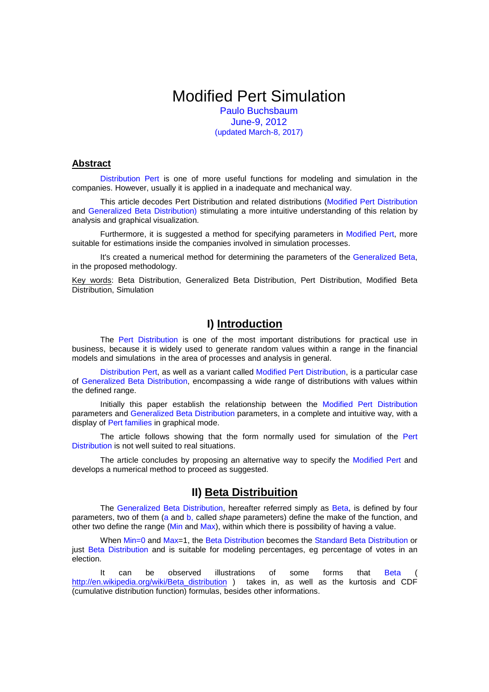# Modified Pert Simulation

Paulo Buchsbaum June-9, 2012 (updated March-8, 2017)

#### **Abstract**

Distribution Pert is one of more useful functions for modeling and simulation in the companies. However, usually it is applied in a inadequate and mechanical way.

This article decodes Pert Distribution and related distributions (Modified Pert Distribution and Generalized Beta Distribution) stimulating a more intuitive understanding of this relation by analysis and graphical visualization.

Furthermore, it is suggested a method for specifying parameters in Modified Pert, more suitable for estimations inside the companies involved in simulation processes.

It's created a numerical method for determining the parameters of the Generalized Beta, in the proposed methodology.

Key words: Beta Distribution, Generalized Beta Distribution, Pert Distribution, Modified Beta Distribution, Simulation

# **I) Introduction**

The Pert Distribution is one of the most important distributions for practical use in business, because it is widely used to generate random values within a range in the financial models and simulations in the area of processes and analysis in general.

Distribution Pert, as well as a variant called Modified Pert Distribution, is a particular case of Generalized Beta Distribution, encompassing a wide range of distributions with values within the defined range.

Initially this paper establish the relationship between the Modified Pert Distribution parameters and Generalized Beta Distribution parameters, in a complete and intuitive way, with a display of Pert families in graphical mode.

The article follows showing that the form normally used for simulation of the Pert Distribution is not well suited to real situations.

The article concludes by proposing an alternative way to specify the Modified Pert and develops a numerical method to proceed as suggested.

## **II) Beta Distribuition**

The Generalized Beta Distribution, hereafter referred simply as Beta, is defined by four parameters, two of them (a and b, called shape parameters) define the make of the function, and other two define the range (Min and Max), within which there is possibility of having a value.

When Min=0 and Max=1, the Beta Distribution becomes the Standard Beta Distribution or just Beta Distribution and is suitable for modeling percentages, eg percentage of votes in an election.

It can be observed illustrations of some forms that Beta ( http://en.wikipedia.org/wiki/Beta\_distribution ) takes in, as well as the kurtosis and CDF (cumulative distribution function) formulas, besides other informations.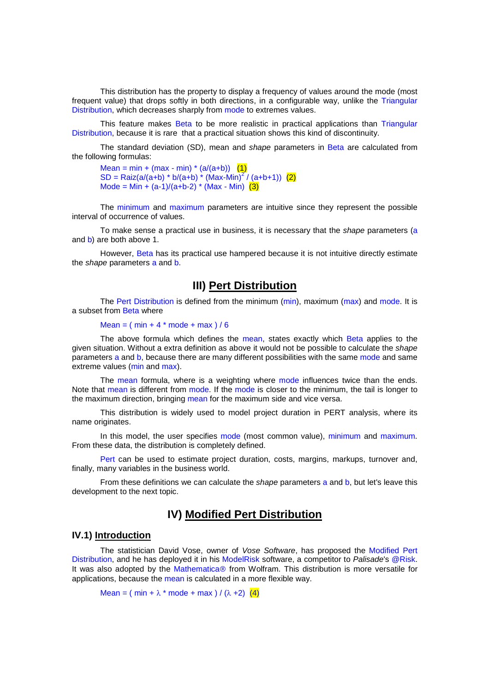This distribution has the property to display a frequency of values around the mode (most frequent value) that drops softly in both directions, in a configurable way, unlike the Triangular Distribution, which decreases sharply from mode to extremes values.

This feature makes Beta to be more realistic in practical applications than Triangular Distribution, because it is rare that a practical situation shows this kind of discontinuity.

The standard deviation (SD), mean and shape parameters in Beta are calculated from the following formulas:

Mean = min + (max - min) \*  $(a/(a+b))$  (1)  $SD = \text{Raiz}(a/(a+b) * b/(a+b) * (\text{Max-Min})^2 / (a+b+1))$  (2) Mode = Min +  $(a-1)/(a+b-2) * (Max - Min)$  (3)

The minimum and maximum parameters are intuitive since they represent the possible interval of occurrence of values.

To make sense a practical use in business, it is necessary that the shape parameters (a and b) are both above 1.

However, Beta has its practical use hampered because it is not intuitive directly estimate the *shape* parameters a and **b**.

## **III) Pert Distribution**

The Pert Distribution is defined from the minimum (min), maximum (max) and mode. It is a subset from Beta where

#### Mean =  $(min + 4 * mode + max) / 6$

The above formula which defines the mean, states exactly which Beta applies to the given situation. Without a extra definition as above it would not be possible to calculate the shape parameters a and b, because there are many different possibilities with the same mode and same extreme values (min and max).

The mean formula, where is a weighting where mode influences twice than the ends. Note that mean is different from mode. If the mode is closer to the minimum, the tail is longer to the maximum direction, bringing mean for the maximum side and vice versa.

This distribution is widely used to model project duration in PERT analysis, where its name originates.

In this model, the user specifies mode (most common value), minimum and maximum. From these data, the distribution is completely defined.

Pert can be used to estimate project duration, costs, margins, markups, turnover and, finally, many variables in the business world.

From these definitions we can calculate the *shape* parameters a and b, but let's leave this development to the next topic.

## **IV) Modified Pert Distribution**

## **IV.1) Introduction**

The statistician David Vose, owner of Vose Software, has proposed the Modified Pert Distribution, and he has deployed it in his ModelRisk software, a competitor to Palisade's @Risk. It was also adopted by the Mathematica® from Wolfram. This distribution is more versatile for applications, because the mean is calculated in a more flexible way.

Mean = ( min +  $\lambda$  \* mode + max ) / ( $\lambda$  +2) (4)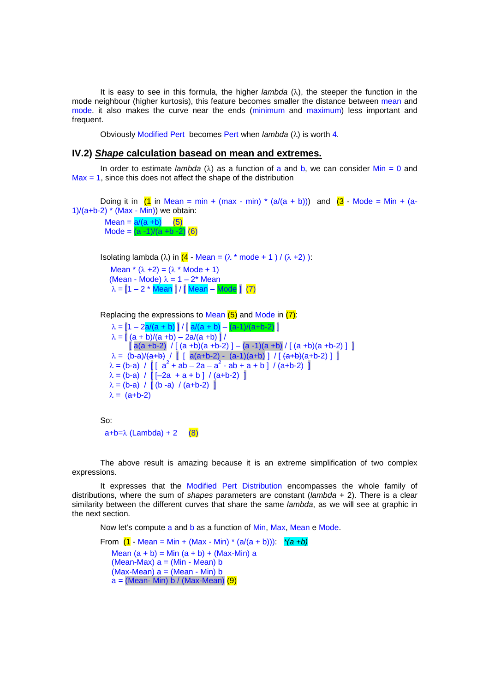It is easy to see in this formula, the higher *lambda* ( $\lambda$ ), the steeper the function in the mode neighbour (higher kurtosis), this feature becomes smaller the distance between mean and mode. it also makes the curve near the ends (minimum and maximum) less important and frequent.

Obviously Modified Pert becomes Pert when  $lambda$  ( $\lambda$ ) is worth 4.

#### **IV.2) Shape calculation basead on mean and extremes.**

In order to estimate *lambda* ( $\lambda$ ) as a function of a and b, we can consider Min = 0 and  $Max = 1$ , since this does not affect the shape of the distribution

```
Doing it in (1 \text{ in Mean} = \text{min} + (\text{max} \cdot \text{min}) \cdot (a/(a + b))) and (3 \cdot \text{Mode} = \text{Min} + (a - b))1)/(a+b-2) * (Max - Min)) we obtain:
```
 $Mean = a/(a + b)$  (5) Mode =  $(a - 1)/(a + b - 2)$  (6)

Isolating lambda (λ) in  $(4 - Mean = (λ * mode + 1) / (λ +2))$ :

Mean  $*(\lambda +2) = (\lambda * \text{Mode} + 1)$ (Mean - Mode)  $\lambda = 1 - 2^*$  Mean  $\lambda = [1 - 2 * Mean] / [Mean - Mode]$  (7)

Replacing the expressions to Mean  $(5)$  and Mode in  $(7)$ :

 $\lambda = [1 - 2a/(a + b)] / [a/(a + b) - (a-1)/(a+b-2)]$  $\lambda = |(a + b)/(a + b) - 2a/(a + b)|$  $[a(a + b-2) / [(a + b)(a + b-2)] - (a - 1)(a + b) / [(a + b)(a + b-2)]]$  $\lambda = (b-a)/(a+b)$  / [ [ a(a+b-2) - (a-1)(a+b) ] / [  $(a+b)(a+b-2)$  ] ]  $\lambda = (b-a)$  /  $[(a^2 + ab - 2a - a^2 - ab + a + b]$  /  $(a+b-2)$  $\lambda = (b-a) / [[-2a + a + b] / (a+b-2)]$  $\lambda = (b-a) / [(b-a) / (a+b-2)]$  $\lambda = (a+b-2)$ 

So: a+b=λ (Lambda) + 2 (8)

The above result is amazing because it is an extreme simplification of two complex expressions.

It expresses that the Modified Pert Distribution encompasses the whole family of distributions, where the sum of shapes parameters are constant ( $lambda + 2$ ). There is a clear similarity between the different curves that share the same *lambda*, as we will see at graphic in the next section.

Now let's compute a and b as a function of Min, Max, Mean e Mode.

From  $(1 - \text{Mean} = \text{Min} + (\text{Max} - \text{Min}) * (a/(a + b)))$ :  $*(a + b)$ Mean  $(a + b) = Min (a + b) + (Max-Min)$  a  $(Mean-Max)$   $a = (Min - Mean)$  b  $(Max-Mean)$  a =  $(Mean - Min)$  b  $a = (Mean - Min) b / (Max-Mean) (9)$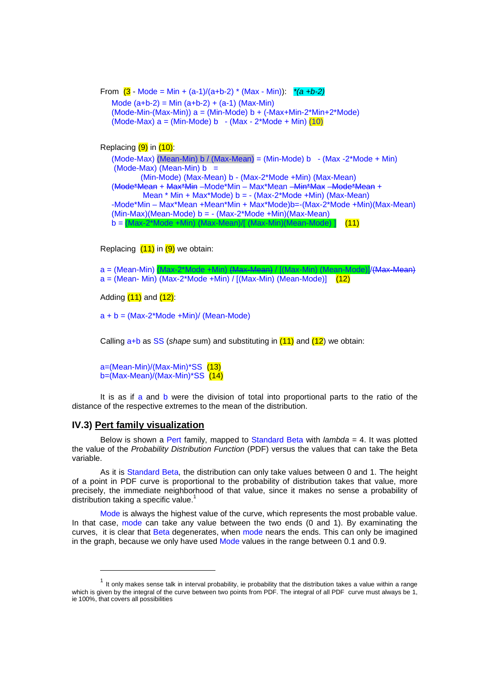```
From (3 \cdot \text{Mode} = \text{Min} + (a-1)/(a+b-2) * (\text{Max} - \text{Min})): *(a+b-2)Mode (a+b-2) = Min (a+b-2) + (a-1) (Max-Min)(Mode-Min-(Max-Min)) a = (Min-Mode) b + (-Max+Min-2*Min+2*Mode)(Mode-Max) a = (Min-Mode) b -(Max - 2*Node + Min) (10)
```

```
Replacing (9) in (10):
```

```
(Mode-Max) (Mean-Min) b / (Max-Mean) = (Min-Mode) b -(Max-2*Mode+Min)(Mode-Max) (Mean-Min) b = (Min-Mode) (Max-Mean) b - (Max-2*Mode +Min) (Max-Mean) 
(Mode*Mean + Max*Min –Mode*Min – Max*Mean –Min*Max –Mode*Mean + 
        Mean * Min + Max*Mode) b = - (Max-2*Mode +Min) (Max-Mean) 
-Mode*Min – Max*Mean +Mean*Min + Max*Mode)b=-(Max-2*Mode +Min)(Max-Mean) 
(Min-Max)(Mean-Mode) b = -(Max-2*Mode +Min)(Max-Mean)b = (Max-2*Mode + Min) (Max-Mean)/[ (Max-Min)(Mean-Mode) ] (11)
```
Replacing  $(11)$  in  $(9)$  we obtain:

a = (Mean-Min) (Max-2\*Mode +Min) (Max-Mean) / [(Max-Min) (Mean-Mode)]/(Max-Mean)  $a = (Mean - Min) (Max-2*Mode + Min) / [(Max - Min) (Mean - Mode)]$ 

Adding  $(11)$  and  $(12)$ :

 $a + b = (Max-2*Mode + Min) / (Mean-Mode)$ 

Calling  $a+b$  as SS (shape sum) and substituting in  $(11)$  and  $(12)$  we obtain:

a=(Mean-Min)/(Max-Min)\*SS (13) b=(Max-Mean)/(Max-Min)\*SS (14)

It is as if a and b were the division of total into proportional parts to the ratio of the distance of the respective extremes to the mean of the distribution.

#### **IV.3) Pert family visualization**

l

Below is shown a Pert family, mapped to Standard Beta with *lambda* = 4. It was plotted the value of the Probability Distribution Function (PDF) versus the values that can take the Beta variable.

As it is Standard Beta, the distribution can only take values between 0 and 1. The height of a point in PDF curve is proportional to the probability of distribution takes that value, more precisely, the immediate neighborhood of that value, since it makes no sense a probability of distribution taking a specific value.<sup>1</sup>

Mode is always the highest value of the curve, which represents the most probable value. In that case, mode can take any value between the two ends (0 and 1). By examinating the curves, it is clear that Beta degenerates, when mode nears the ends. This can only be imagined in the graph, because we only have used Mode values in the range between 0.1 and 0.9.

 $1$  It only makes sense talk in interval probability, ie probability that the distribution takes a value within a range which is given by the integral of the curve between two points from PDF. The integral of all PDF curve must always be 1, ie 100%, that covers all possibilities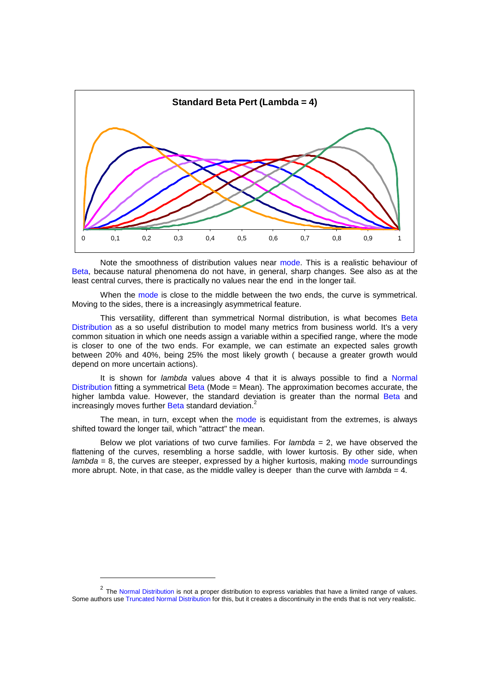

Note the smoothness of distribution values near mode. This is a realistic behaviour of Beta, because natural phenomena do not have, in general, sharp changes. See also as at the least central curves, there is practically no values near the end in the longer tail.

When the mode is close to the middle between the two ends, the curve is symmetrical. Moving to the sides, there is a increasingly asymmetrical feature.

This versatility, different than symmetrical Normal distribution, is what becomes Beta Distribution as a so useful distribution to model many metrics from business world. It's a very common situation in which one needs assign a variable within a specified range, where the mode is closer to one of the two ends. For example, we can estimate an expected sales growth between 20% and 40%, being 25% the most likely growth ( because a greater growth would depend on more uncertain actions).

It is shown for *lambda* values above 4 that it is always possible to find a Normal Distribution fitting a symmetrical Beta (Mode = Mean). The approximation becomes accurate, the higher lambda value. However, the standard deviation is greater than the normal Beta and increasingly moves further Beta standard deviation.<sup>2</sup>

The mean, in turn, except when the mode is equidistant from the extremes, is always shifted toward the longer tail, which "attract" the mean.

Below we plot variations of two curve families. For *lambda*  $= 2$ , we have observed the flattening of the curves, resembling a horse saddle, with lower kurtosis. By other side, when  $lambda = 8$ , the curves are steeper, expressed by a higher kurtosis, making mode surroundings more abrupt. Note, in that case, as the middle valley is deeper than the curve with  $lambda = 4$ .

l

 $2$  The Normal Distribution is not a proper distribution to express variables that have a limited range of values. Some authors use Truncated Normal Distribution for this, but it creates a discontinuity in the ends that is not very realistic.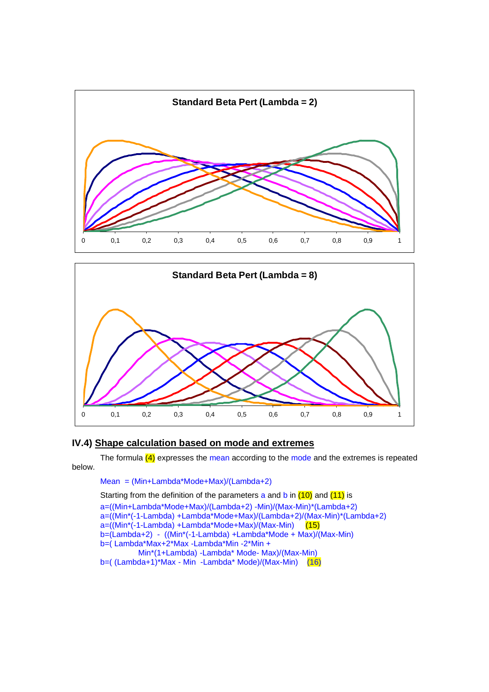



## **IV.4) Shape calculation based on mode and extremes**

The formula  $(4)$  expresses the mean according to the mode and the extremes is repeated below.

Mean = (Min+Lambda\*Mode+Max)/(Lambda+2)

Starting from the definition of the parameters a and  $\frac{10}{10}$  and  $\frac{11}{10}$  is

a=((Min+Lambda\*Mode+Max)/(Lambda+2) -Min)/(Max-Min)\*(Lambda+2) a=((Min\*(-1-Lambda) +Lambda\*Mode+Max)/(Lambda+2)/(Max-Min)\*(Lambda+2)  $a=(\overline{(Min^*(-1-Lambda) +Lambda^*Mode+Max})/(Max-Min)$  (15) b=(Lambda+2) - ((Min\*(-1-Lambda) +Lambda\*Mode + Max)/(Max-Min) b=( Lambda\*Max+2\*Max -Lambda\*Min -2\*Min + Min\*(1+Lambda) -Lambda\* Mode- Max)/(Max-Min) b=( $(Lambda+1)*Max - Min - Lambda* Mode)/(Max-Min)$  (16)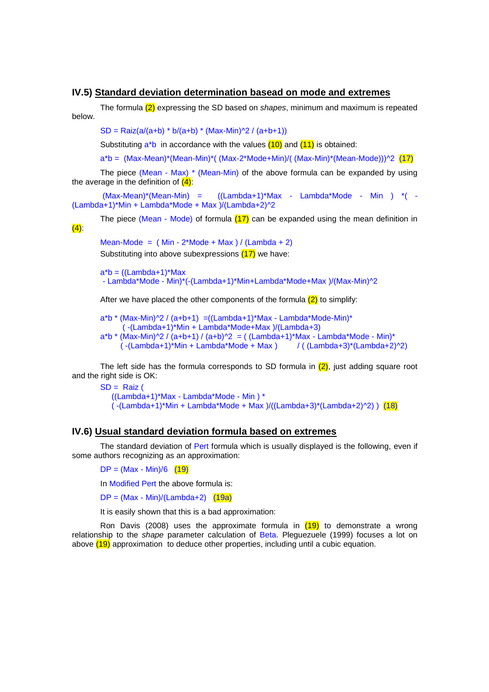#### **IV.5) Standard deviation determination basead on mode and extremes**

The formula  $(2)$  expressing the SD based on shapes, minimum and maximum is repeated below.

 $SD = \text{Raiz}(a/(a+b) * b/(a+b) * (\text{Max-Min})^2 / (a+b+1))$ 

Substituting  $a^*b$  in accordance with the values  $(10)$  and  $(11)$  is obtained:

a\*b = (Max-Mean)\*(Mean-Min)\*( (Max-2\*Mode+Min)/( (Max-Min)\*(Mean-Mode)))^2 (17)

The piece (Mean - Max) \* (Mean-Min) of the above formula can be expanded by using the average in the definition of  $(4)$ :

 $(Max-Mean)*(Mean-Min) =$   $((Lambda+1)*Max - Lambda*Mode - Min) *$  (  $(Lambda+1)*Min + Lambda*Mode + Max)/(Lambda+2)^2$ 

The piece (Mean - Mode) of formula  $(17)$  can be expanded using the mean definition in  $(4)$ :

Mean-Mode =  $(Min - 2<sup>*</sup>Mode + Max) / (Lambda + 2)$ Substituting into above subexpressions (17) we have:

 $a^*b = ((Lambda + 1)^*Max$ - Lambda\*Mode - Min)\*(-(Lambda+1)\*Min+Lambda\*Mode+Max )/(Max-Min)^2

After we have placed the other components of the formula  $(2)$  to simplify:

 $a^*b^*$  (Max-Min)<sup> $\frac{1}{2}$ </sup> / (a+b+1) = ((Lambda+1)\*Max - Lambda\*Mode-Min)\* ( -(Lambda+1)\*Min + Lambda\*Mode+Max )/(Lambda+3)  $a^*b^*$  (Max-Min)^2 / (a+b+1) / (a+b)^2 = ( (Lambda+1)\*Max - Lambda\*Mode - Min)\*  $(-{\text{Lambda+1}}^*)$ \*Min + Lambda\*Mode + Max  $)/$  ( ${\text{Lambda+3}}^*$ (Lambda+2)^2)

The left side has the formula corresponds to SD formula in  $(2)$ , just adding square root and the right side is OK:

 $SD = \text{Raiz}$  ((Lambda+1)\*Max - Lambda\*Mode - Min ) \*  $(-{\text{(Lambda+1)}}^{\dagger})$ Min + Lambda\*Mode + Max  $)/({\text{(Lambda+3)}}^{\dagger})$ (Lambda+2)^2) ) (18)

### **IV.6) Usual standard deviation formula based on extremes**

The standard deviation of Pert formula which is usually displayed is the following, even if some authors recognizing as an approximation:

 $DP = (Max - Min)/6$  (19)

In Modified Pert the above formula is:

 $DP = (Max - Min)/(Lambda + 2)$  (19a)

It is easily shown that this is a bad approximation:

Ron Davis (2008) uses the approximate formula in  $(19)$  to demonstrate a wrong relationship to the shape parameter calculation of Beta. Pleguezuele (1999) focuses a lot on above  $(19)$  approximation to deduce other properties, including until a cubic equation.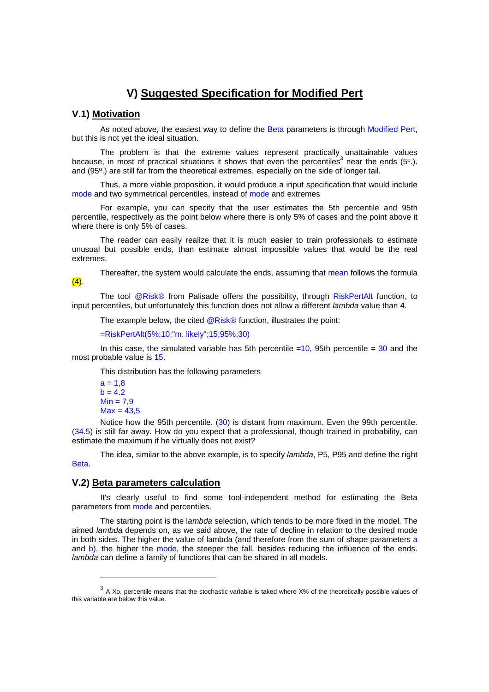# **V) Suggested Specification for Modified Pert**

## **V.1) Motivation**

As noted above, the easiest way to define the Beta parameters is through Modified Pert, but this is not yet the ideal situation.

The problem is that the extreme values represent practically unattainable values because, in most of practical situations it shows that even the percentiles<sup>3</sup> near the ends (5°.). and (95º.) are still far from the theoretical extremes, especially on the side of longer tail.

Thus, a more viable proposition, it would produce a input specification that would include mode and two symmetrical percentiles, instead of mode and extremes

For example, you can specify that the user estimates the 5th percentile and 95th percentile, respectively as the point below where there is only 5% of cases and the point above it where there is only 5% of cases.

The reader can easily realize that it is much easier to train professionals to estimate unusual but possible ends, than estimate almost impossible values that would be the real extremes.

Thereafter, the system would calculate the ends, assuming that mean follows the formula

The tool @Risk® from Palisade offers the possibility, through RiskPertAlt function, to input percentiles, but unfortunately this function does not allow a different *lambda* value than 4.

The example below, the cited  $@Risk@$  function, illustrates the point:

=RiskPertAlt(5%;10;"m. likely";15;95%;30)

In this case, the simulated variable has 5th percentile  $=10$ , 95th percentile  $=30$  and the most probable value is 15.

This distribution has the following parameters

```
a = 1,8b = 4.2Min = 7.9Max = 43.5
```
l

 $(4)$ .

 Notice how the 95th percentile. (30) is distant from maximum. Even the 99th percentile. (34.5) is still far away. How do you expect that a professional, though trained in probability, can estimate the maximum if he virtually does not exist?

The idea, similar to the above example, is to specify *lambda*, P5, P95 and define the right Beta.

### **V.2) Beta parameters calculation**

It's clearly useful to find some tool-independent method for estimating the Beta parameters from mode and percentiles.

The starting point is the lambda selection, which tends to be more fixed in the model. The aimed lambda depends on, as we said above, the rate of decline in relation to the desired mode in both sides. The higher the value of lambda (and therefore from the sum of shape parameters a and b), the higher the mode, the steeper the fall, besides reducing the influence of the ends. lambda can define a family of functions that can be shared in all models.

 $3$  A Xo. percentile means that the stochastic variable is taked where X% of the theoretically possible values of this variable are below this value.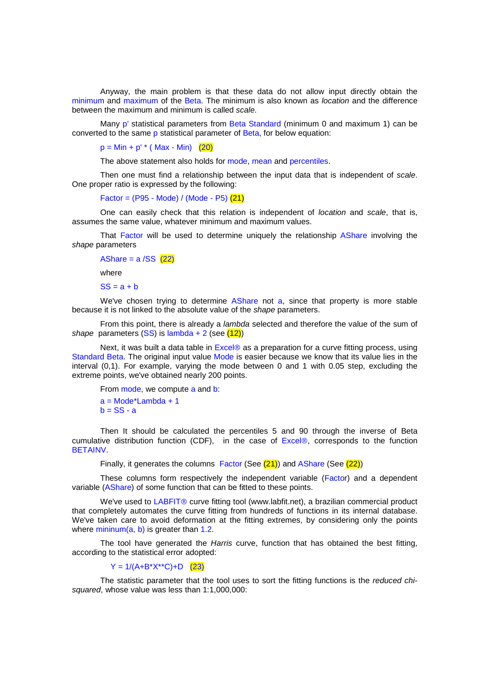Anyway, the main problem is that these data do not allow input directly obtain the minimum and maximum of the Beta. The minimum is also known as *location* and the difference between the maximum and minimum is called scale.

Many p' statistical parameters from Beta Standard (minimum 0 and maximum 1) can be converted to the same p statistical parameter of Beta, for below equation:

 $p = Min + p'$  (Max - Min) (20)

The above statement also holds for mode, mean and percentiles.

Then one must find a relationship between the input data that is independent of scale. One proper ratio is expressed by the following:

Factor = (P95 - Mode) / (Mode - P5) (21)

One can easily check that this relation is independent of *location* and scale, that is, assumes the same value, whatever minimum and maximum values.

That Factor will be used to determine uniquely the relationship AShare involving the shape parameters

```
AShare = a /SS (22)where
```
 $SS = a + b$ 

We've chosen trying to determine AShare not a, since that property is more stable because it is not linked to the absolute value of the shape parameters.

From this point, there is already a *lambda* selected and therefore the value of the sum of shape parameters  $(SS)$  is lambda + 2 (see  $(12)$ )

Next, it was built a data table in  $Excel@$  as a preparation for a curve fitting process, using Standard Beta. The original input value Mode is easier because we know that its value lies in the interval (0,1). For example, varying the mode between 0 and 1 with 0.05 step, excluding the extreme points, we've obtained nearly 200 points.

From mode, we compute a and b:  $a = Mode*Lambda + 1$  $b = SS - a$ 

Then It should be calculated the percentiles 5 and 90 through the inverse of Beta cumulative distribution function (CDF), in the case of Excel®, corresponds to the function BETAINV.

Finally, it generates the columns Factor (See (21)) and AShare (See (22))

These columns form respectively the independent variable (Factor) and a dependent variable (AShare) of some function that can be fitted to these points.

We've used to LABFIT<sup>®</sup> curve fitting tool (www.labfit.net), a brazilian commercial product that completely automates the curve fitting from hundreds of functions in its internal database. We've taken care to avoid deformation at the fitting extremes, by considering only the points where  $minimum(a, b)$  is greater than 1.2.

The tool have generated the Harris curve, function that has obtained the best fitting, according to the statistical error adopted:

 $Y = 1/(A+B*X**C)+D$  (23)

The statistic parameter that the tool uses to sort the fitting functions is the reduced chisquared, whose value was less than 1:1,000,000: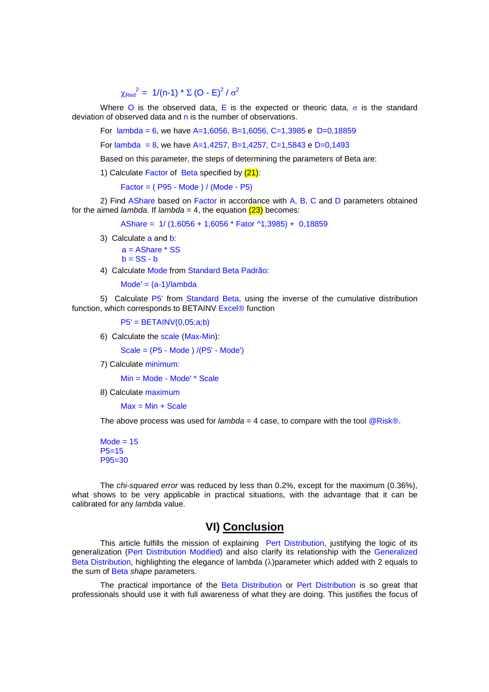# $\chi_{\text{Red}}^2 = 1/(n-1) * \Sigma (O - E)^2 / σ^2$

Where O is the observed data, E is the expected or theoric data,  $\sigma$  is the standard deviation of observed data and  $n$  is the number of observations.

For lambda = 6, we have A=1,6056, B=1,6056, C=1,3985 e D=0,18859

For lambda = 8, we have  $A=1,4257, B=1,4257, C=1,5843$  e D=0,1493

Based on this parameter, the steps of determining the parameters of Beta are:

1) Calculate Factor of Beta specified by (21):

Factor = ( P95 - Mode ) / (Mode - P5)

2) Find AShare based on Factor in accordance with A, B, C and D parameters obtained for the aimed *lambda*. If *lambda* = 4, the equation  $(23)$  becomes:

AShare = 1/ (1,6056 + 1,6056 \* Fator ^1,3985) + 0,18859

3) Calculate a and b:

 a = AShare \* SS  $b = SS - b$ 

4) Calculate Mode from Standard Beta Padrão:

 $Mode' = (a-1)/lambda$ 

5) Calculate P5' from Standard Beta, using the inverse of the cumulative distribution function, which corresponds to BETAINV Excel<sup>®</sup> function

 $P5' = BETAINV(0,05; a;b)$ 

6) Calculate the scale (Max-Min):

Scale = (P5 - Mode ) /(P5' - Mode')

7) Calculate minimum:

Min = Mode - Mode' \* Scale

8) Calculate maximum

 $Max = Min + Scale$ 

The above process was used for *lambda* = 4 case, to compare with the tool  $@Risk@$ .

 $Mode = 15$ P5=15 P95=30

The chi-squared error was reduced by less than 0.2%, except for the maximum (0.36%), what shows to be very applicable in practical situations, with the advantage that it can be calibrated for any lambda value.

## **VI) Conclusion**

This article fulfills the mission of explaining Pert Distribution, justifying the logic of its generalization (Pert Distribution Modified) and also clarify its relationship with the Generalized Beta Distribution, highlighting the elegance of lambda  $(λ)$ parameter which added with 2 equals to the sum of Beta shape parameters.

The practical importance of the Beta Distribution or Pert Distribution is so great that professionals should use it with full awareness of what they are doing. This justifies the focus of